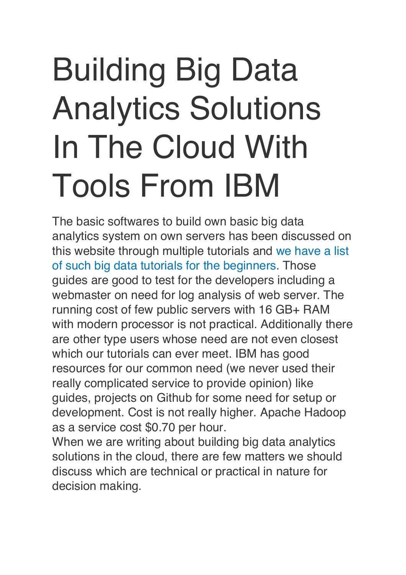# Building Big Data Analytics Solutions In The Cloud With Tools From IBM

The basic softwares to build own basic big data analytics system on own servers has been discussed on this website through multiple tutorials and [we have a list](https://thecustomizewindows.com/2017/05/list-big-data-tutorials-beginners/)  [of such big data tutorials for the beginners.](https://thecustomizewindows.com/2017/05/list-big-data-tutorials-beginners/) Those guides are good to test for the developers including a webmaster on need for log analysis of web server. The running cost of few public servers with 16 GB+ RAM with modern processor is not practical. Additionally there are other type users whose need are not even closest which our tutorials can ever meet. IBM has good resources for our common need (we never used their really complicated service to provide opinion) like guides, projects on Github for some need for setup or development. Cost is not really higher. Apache Hadoop as a service cost \$0.70 per hour.

When we are writing about building big data analytics solutions in the cloud, there are few matters we should discuss which are technical or practical in nature for decision making.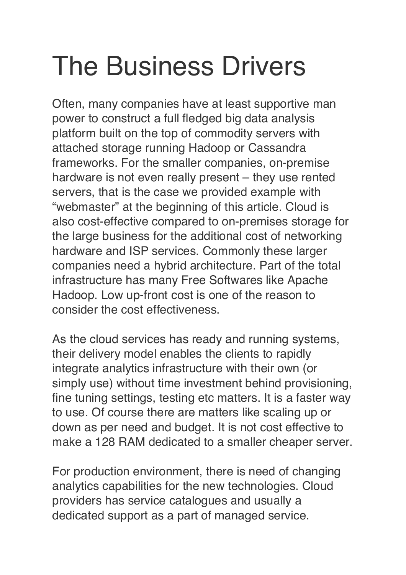# The Business Drivers

Often, many companies have at least supportive man power to construct a full fledged big data analysis platform built on the top of commodity servers with attached storage running Hadoop or Cassandra frameworks. For the smaller companies, on-premise hardware is not even really present – they use rented servers, that is the case we provided example with "webmaster" at the beginning of this article. Cloud is also cost-effective compared to on-premises storage for the large business for the additional cost of networking hardware and ISP services. Commonly these larger companies need a hybrid architecture. Part of the total infrastructure has many Free Softwares like Apache Hadoop. Low up-front cost is one of the reason to consider the cost effectiveness.

As the cloud services has ready and running systems, their delivery model enables the clients to rapidly integrate analytics infrastructure with their own (or simply use) without time investment behind provisioning, fine tuning settings, testing etc matters. It is a faster way to use. Of course there are matters like scaling up or down as per need and budget. It is not cost effective to make a 128 RAM dedicated to a smaller cheaper server.

For production environment, there is need of changing analytics capabilities for the new technologies. Cloud providers has service catalogues and usually a dedicated support as a part of managed service.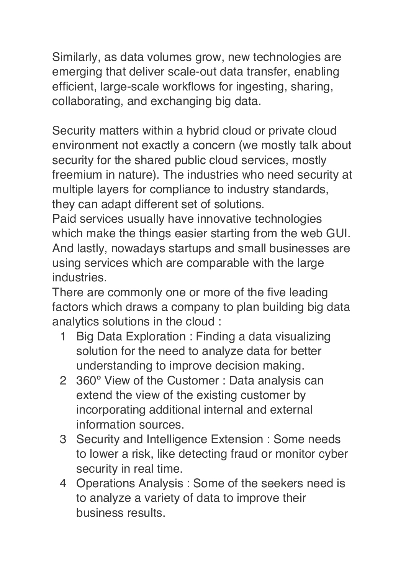Similarly, as data volumes grow, new technologies are emerging that deliver scale-out data transfer, enabling efficient, large-scale workflows for ingesting, sharing, collaborating, and exchanging big data.

Security matters within a hybrid cloud or private cloud environment not exactly a concern (we mostly talk about security for the shared public cloud services, mostly freemium in nature). The industries who need security at multiple layers for compliance to industry standards, they can adapt different set of solutions.

Paid services usually have innovative technologies which make the things easier starting from the web GUI. And lastly, nowadays startups and small businesses are using services which are comparable with the large industries.

There are commonly one or more of the five leading factors which draws a company to plan building big data analytics solutions in the cloud :

- 1 Big Data Exploration : Finding a data visualizing solution for the need to analyze data for better understanding to improve decision making.
- 2 360º View of the Customer : Data analysis can extend the view of the existing customer by incorporating additional internal and external information sources.
- 3 Security and Intelligence Extension : Some needs to lower a risk, like detecting fraud or monitor cyber security in real time.
- 4 Operations Analysis : Some of the seekers need is to analyze a variety of data to improve their business results.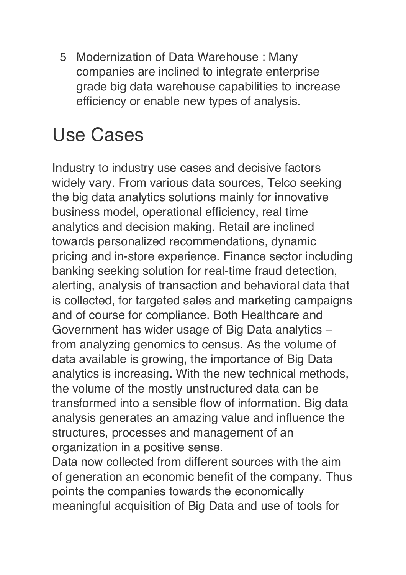5 Modernization of Data Warehouse : Many companies are inclined to integrate enterprise grade big data warehouse capabilities to increase efficiency or enable new types of analysis.

#### Use Cases

Industry to industry use cases and decisive factors widely vary. From various data sources, Telco seeking the big data analytics solutions mainly for innovative business model, operational efficiency, real time analytics and decision making. Retail are inclined towards personalized recommendations, dynamic pricing and in-store experience. Finance sector including banking seeking solution for real-time fraud detection, alerting, analysis of transaction and behavioral data that is collected, for targeted sales and marketing campaigns and of course for compliance. Both Healthcare and Government has wider usage of Big Data analytics – from analyzing genomics to census. As the volume of data available is growing, the importance of Big Data analytics is increasing. With the new technical methods, the volume of the mostly unstructured data can be transformed into a sensible flow of information. Big data analysis generates an amazing value and influence the structures, processes and management of an organization in a positive sense.

Data now collected from different sources with the aim of generation an economic benefit of the company. Thus points the companies towards the economically meaningful acquisition of Big Data and use of tools for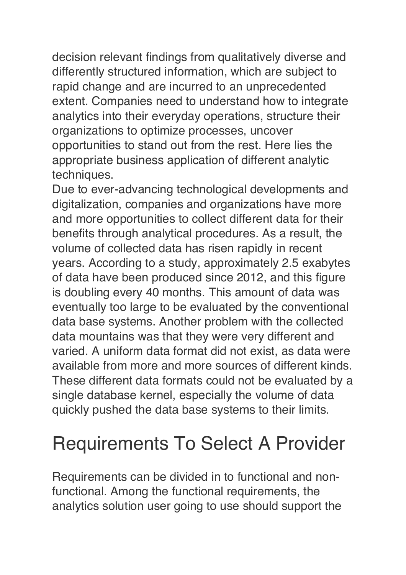decision relevant findings from qualitatively diverse and differently structured information, which are subject to rapid change and are incurred to an unprecedented extent. Companies need to understand how to integrate analytics into their everyday operations, structure their organizations to optimize processes, uncover opportunities to stand out from the rest. Here lies the appropriate business application of different analytic techniques.

Due to ever-advancing technological developments and digitalization, companies and organizations have more and more opportunities to collect different data for their benefits through analytical procedures. As a result, the volume of collected data has risen rapidly in recent years. According to a study, approximately 2.5 exabytes of data have been produced since 2012, and this figure is doubling every 40 months. This amount of data was eventually too large to be evaluated by the conventional data base systems. Another problem with the collected data mountains was that they were very different and varied. A uniform data format did not exist, as data were available from more and more sources of different kinds. These different data formats could not be evaluated by a single database kernel, especially the volume of data quickly pushed the data base systems to their limits.

## Requirements To Select A Provider

Requirements can be divided in to functional and nonfunctional. Among the functional requirements, the analytics solution user going to use should support the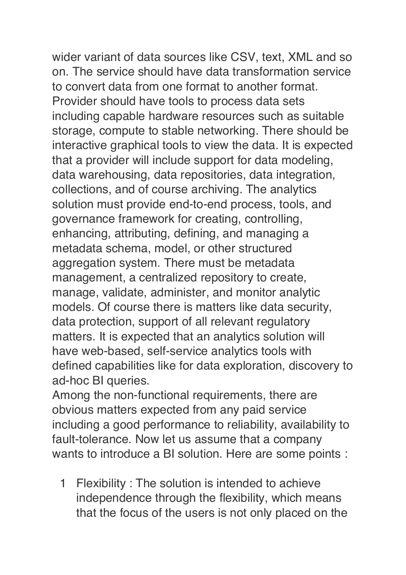wider variant of data sources like CSV, text, XML and so on. The service should have data transformation service to convert data from one format to another format. Provider should have tools to process data sets including capable hardware resources such as suitable storage, compute to stable networking. There should be interactive graphical tools to view the data. It is expected that a provider will include support for data modeling, data warehousing, data repositories, data integration, collections, and of course archiving. The analytics solution must provide end-to-end process, tools, and governance framework for creating, controlling, enhancing, attributing, defining, and managing a metadata schema, model, or other structured aggregation system. There must be metadata management, a centralized repository to create, manage, validate, administer, and monitor analytic models. Of course there is matters like data security, data protection, support of all relevant regulatory matters. It is expected that an analytics solution will have web-based, self-service analytics tools with defined capabilities like for data exploration, discovery to ad-hoc BI queries.

Among the non-functional requirements, there are obvious matters expected from any paid service including a good performance to reliability, availability to fault-tolerance. Now let us assume that a company wants to introduce a BI solution. Here are some points :

1 Flexibility : The solution is intended to achieve independence through the flexibility, which means that the focus of the users is not only placed on the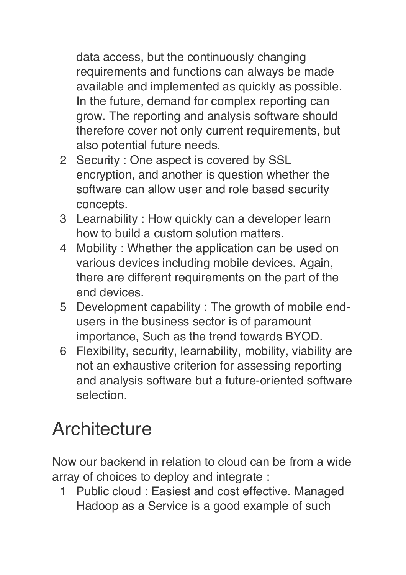data access, but the continuously changing requirements and functions can always be made available and implemented as quickly as possible. In the future, demand for complex reporting can grow. The reporting and analysis software should therefore cover not only current requirements, but also potential future needs.

- 2 Security : One aspect is covered by SSL encryption, and another is question whether the software can allow user and role based security concepts.
- 3 Learnability : How quickly can a developer learn how to build a custom solution matters.
- 4 Mobility : Whether the application can be used on various devices including mobile devices. Again, there are different requirements on the part of the end devices.
- 5 Development capability : The growth of mobile endusers in the business sector is of paramount importance, Such as the trend towards BYOD.
- 6 Flexibility, security, learnability, mobility, viability are not an exhaustive criterion for assessing reporting and analysis software but a future-oriented software selection.

## **Architecture**

Now our backend in relation to cloud can be from a wide array of choices to deploy and integrate :

1 Public cloud : Easiest and cost effective. Managed Hadoop as a Service is a good example of such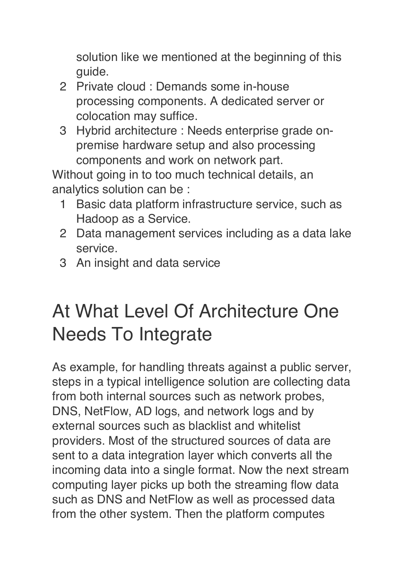solution like we mentioned at the beginning of this guide.

- 2 Private cloud : Demands some in-house processing components. A dedicated server or colocation may suffice.
- 3 Hybrid architecture : Needs enterprise grade onpremise hardware setup and also processing components and work on network part.

Without going in to too much technical details, an analytics solution can be :

- 1 Basic data platform infrastructure service, such as Hadoop as a Service.
- 2 Data management services including as a data lake service.
- 3 An insight and data service

#### At What Level Of Architecture One Needs To Integrate

As example, for handling threats against a public server, steps in a typical intelligence solution are collecting data from both internal sources such as network probes, DNS, NetFlow, AD logs, and network logs and by external sources such as blacklist and whitelist providers. Most of the structured sources of data are sent to a data integration layer which converts all the incoming data into a single format. Now the next stream computing layer picks up both the streaming flow data such as DNS and NetFlow as well as processed data from the other system. Then the platform computes